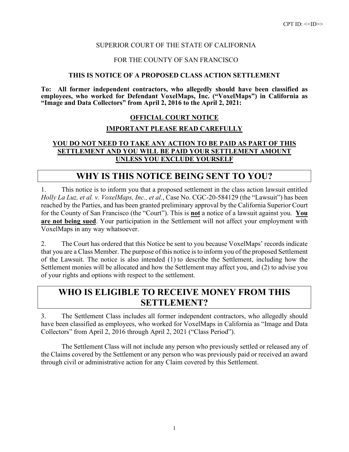#### SUPERIOR COURT OF THE STATE OF CALIFORNIA

#### FOR THE COUNTY OF SAN FRANCISCO

#### **THIS IS NOTICE OF A PROPOSED CLASS ACTION SETTLEMENT**

**To: All former independent contractors, who allegedly should have been classified as employees, who worked for Defendant VoxelMaps, Inc. ("VoxelMaps") in California as "Image and Data Collectors" from April 2, 2016 to the April 2, 2021:**

#### **OFFICIAL COURT NOTICE**

#### **IMPORTANT PLEASE READ CAREFULLY**

#### **YOU DO NOT NEED TO TAKE ANY ACTION TO BE PAID AS PART OF THIS SETTLEMENT AND YOU WILL BE PAID YOUR SETTLEMENT AMOUNT UNLESS YOU EXCLUDE YOURSELF**

### **WHY IS THIS NOTICE BEING SENT TO YOU?**

1. This notice is to inform you that a proposed settlement in the class action lawsuit entitled *Holly La Luz, et al. v. VoxelMaps, Inc., et al.*, Case No. CGC-20-584129 (the "Lawsuit") has been reached by the Parties, and has been granted preliminary approval by the California Superior Court for the County of San Francisco (the "Court"). This is **not** a notice of a lawsuit against you. **You are not being sued**. Your participation in the Settlement will not affect your employment with VoxelMaps in any way whatsoever.

2. The Court has ordered that this Notice be sent to you because VoxelMaps' records indicate that you are a Class Member. The purpose of this notice is to inform you of the proposed Settlement of the Lawsuit. The notice is also intended (1) to describe the Settlement, including how the Settlement monies will be allocated and how the Settlement may affect you, and (2) to advise you of your rights and options with respect to the settlement.

### **WHO IS ELIGIBLE TO RECEIVE MONEY FROM THIS SETTLEMENT?**

3. The Settlement Class includes all former independent contractors, who allegedly should have been classified as employees, who worked for VoxelMaps in California as "Image and Data Collectors" from April 2, 2016 through April 2, 2021 ("Class Period").

The Settlement Class will not include any person who previously settled or released any of the Claims covered by the Settlement or any person who was previously paid or received an award through civil or administrative action for any Claim covered by this Settlement.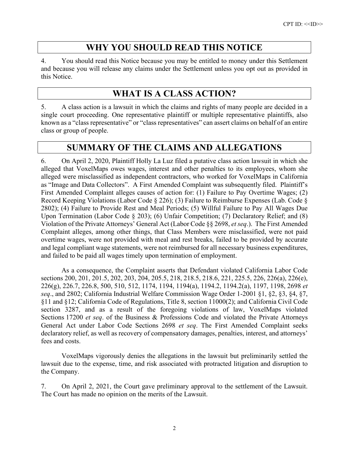## **WHY YOU SHOULD READ THIS NOTICE**

4. You should read this Notice because you may be entitled to money under this Settlement and because you will release any claims under the Settlement unless you opt out as provided in this Notice.

## **WHAT IS A CLASS ACTION?**

5. A class action is a lawsuit in which the claims and rights of many people are decided in a single court proceeding. One representative plaintiff or multiple representative plaintiffs, also known as a "class representative" or "class representatives" can assert claims on behalf of an entire class or group of people.

## **SUMMARY OF THE CLAIMS AND ALLEGATIONS**

6. On April 2, 2020, Plaintiff Holly La Luz filed a putative class action lawsuit in which she alleged that VoxelMaps owes wages, interest and other penalties to its employees, whom she alleged were misclassified as independent contractors, who worked for VoxelMaps in California as "Image and Data Collectors". A First Amended Complaint was subsequently filed. Plaintiff's First Amended Complaint alleges causes of action for: (1) Failure to Pay Overtime Wages; (2) Record Keeping Violations (Labor Code § 226); (3) Failure to Reimburse Expenses (Lab. Code § 2802); (4) Failure to Provide Rest and Meal Periods; (5) Willful Failure to Pay All Wages Due Upon Termination (Labor Code § 203); (6) Unfair Competition; (7) Declaratory Relief; and (8) Violation of the Private Attorneys' General Act (Labor Code §§ 2698, *et seq*.). The First Amended Complaint alleges, among other things, that Class Members were misclassified, were not paid overtime wages, were not provided with meal and rest breaks, failed to be provided by accurate and legal compliant wage statements, were not reimbursed for all necessary business expenditures, and failed to be paid all wages timely upon termination of employment.

As a consequence, the Complaint asserts that Defendant violated California Labor Code sections 200, 201, 201.5, 202, 203, 204, 205.5, 218, 218.5, 218.6, 221, 225.5, 226, 226(a), 226(e), 226(g), 226.7, 226.8, 500, 510, 512, 1174, 1194, 1194(a), 1194.2, 1194.2(a), 1197, 1198, 2698 *et seq*., and 2802; California Industrial Welfare Commission Wage Order 1-2001 §1, §2, §3, §4, §7, §11 and §12; California Code of Regulations, Title 8, section 11000(2); and California Civil Code section 3287, and as a result of the foregoing violations of law, VoxelMaps violated Sections 17200 *et seq*. of the Business & Professions Code and violated the Private Attorneys General Act under Labor Code Sections 2698 *et seq*. The First Amended Complaint seeks declaratory relief, as well as recovery of compensatory damages, penalties, interest, and attorneys' fees and costs.

VoxelMaps vigorously denies the allegations in the lawsuit but preliminarily settled the lawsuit due to the expense, time, and risk associated with protracted litigation and disruption to the Company.

7. On April 2, 2021, the Court gave preliminary approval to the settlement of the Lawsuit. The Court has made no opinion on the merits of the Lawsuit.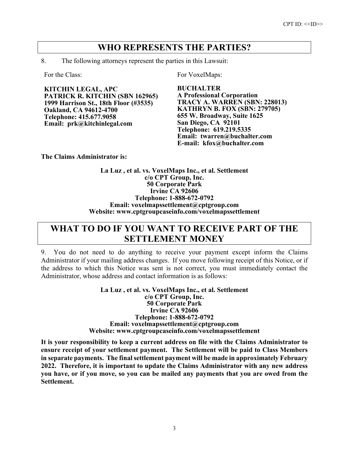### **WHO REPRESENTS THE PARTIES?**

8. The following attorneys represent the parties in this Lawsuit:

**KITCHIN LEGAL, APC PATRICK R. KITCHIN (SBN 162965) 1999 Harrison St., 18th Floor (#3535) Oakland, CA 94612-4700 Telephone: 415.677.9058 Email: prk@kitchinlegal.com**

For the Class: For VoxelMaps:

**BUCHALTER A Professional Corporation TRACY A. WARREN (SBN: 228013) KATHRYN B. FOX (SBN: 279705) 655 W. Broadway, Suite 1625 San Diego, CA 92101 Telephone: 619.219.5335 Email: twarren@buchalter.com E-mail: kfox@buchalter.com**

**The Claims Administrator is:**

**La Luz , et al. vs. VoxelMaps Inc., et al. Settlement c/o CPT Group, Inc. 50 Corporate Park Irvine CA 92606 Telephone: 1-888-672-0792 Email: voxelmapssettlement@cptgroup.com Website: www.cptgroupcaseinfo.com/voxelmapssettlement**

## **WHAT TO DO IF YOU WANT TO RECEIVE PART OF THE SETTLEMENT MONEY**

9. You do not need to do anything to receive your payment except inform the Claims Administrator if your mailing address changes. If you move following receipt of this Notice, or if the address to which this Notice was sent is not correct, you must immediately contact the Administrator, whose address and contact information is as follows:

> **La Luz , et al. vs. VoxelMaps Inc., et al. Settlement c/o CPT Group, Inc. 50 Corporate Park Irvine CA 92606 Telephone: 1-888-672-0792 Email: voxelmapssettlement@cptgroup.com Website: www.cptgroupcaseinfo.com/voxelmapssettlement**

**It is your responsibility to keep a current address on file with the Claims Administrator to ensure receipt of your settlement payment. The Settlement will be paid to Class Members in separate payments. The final settlement payment will be made in approximately February 2022. Therefore, it is important to update the Claims Administrator with any new address you have, or if you move, so you can be mailed any payments that you are owed from the Settlement.**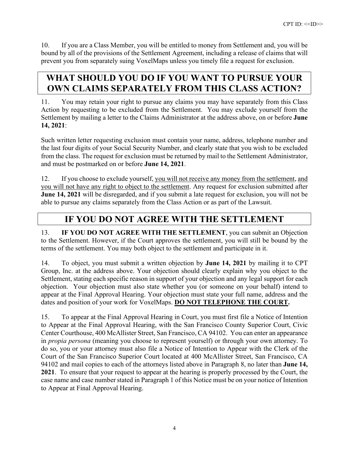10. If you are a Class Member, you will be entitled to money from Settlement and, you will be bound by all of the provisions of the Settlement Agreement, including a release of claims that will prevent you from separately suing VoxelMaps unless you timely file a request for exclusion.

# **WHAT SHOULD YOU DO IF YOU WANT TO PURSUE YOUR OWN CLAIMS SEPARATELY FROM THIS CLASS ACTION?**

11. You may retain your right to pursue any claims you may have separately from this Class Action by requesting to be excluded from the Settlement. You may exclude yourself from the Settlement by mailing a letter to the Claims Administrator at the address above, on or before **June 14, 2021**:

Such written letter requesting exclusion must contain your name, address, telephone number and the last four digits of your Social Security Number, and clearly state that you wish to be excluded from the class. The request for exclusion must be returned by mail to the Settlement Administrator, and must be postmarked on or before **June 14, 2021**.

12. If you choose to exclude yourself, you will not receive any money from the settlement, and you will not have any right to object to the settlement. Any request for exclusion submitted after **June 14, 2021** will be disregarded, and if you submit a late request for exclusion, you will not be able to pursue any claims separately from the Class Action or as part of the Lawsuit.

# **IF YOU DO NOT AGREE WITH THE SETTLEMENT**

13. **IF YOU DO NOT AGREE WITH THE SETTLEMENT**, you can submit an Objection to the Settlement. However, if the Court approves the settlement, you will still be bound by the terms of the settlement. You may both object to the settlement and participate in it.

14. To object, you must submit a written objection by **June 14, 2021** by mailing it to CPT Group, Inc. at the address above. Your objection should clearly explain why you object to the Settlement, stating each specific reason in support of your objection and any legal support for each objection. Your objection must also state whether you (or someone on your behalf) intend to appear at the Final Approval Hearing. Your objection must state your full name, address and the dates and position of your work for VoxelMaps. **DO NOT TELEPHONE THE COURT.**

15. To appear at the Final Approval Hearing in Court, you must first file a Notice of Intention to Appear at the Final Approval Hearing, with the San Francisco County Superior Court, Civic Center Courthouse, 400 McAllister Street, San Francisco, CA 94102. You can enter an appearance in *propia persona* (meaning you choose to represent yourself) or through your own attorney. To do so, you or your attorney must also file a Notice of Intention to Appear with the Clerk of the Court of the San Francisco Superior Court located at 400 McAllister Street, San Francisco, CA 94102 and mail copies to each of the attorneys listed above in Paragraph 8, no later than **June 14, 2021**. To ensure that your request to appear at the hearing is properly processed by the Court, the case name and case number stated in Paragraph 1 of this Notice must be on your notice of Intention to Appear at Final Approval Hearing.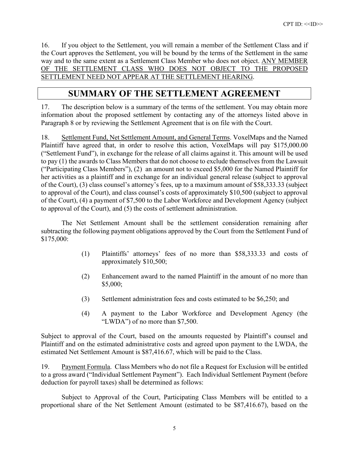16. If you object to the Settlement, you will remain a member of the Settlement Class and if the Court approves the Settlement, you will be bound by the terms of the Settlement in the same way and to the same extent as a Settlement Class Member who does not object. ANY MEMBER OF THE SETTLEMENT CLASS WHO DOES NOT OBJECT TO THE PROPOSED SETTLEMENT NEED NOT APPEAR AT THE SETTLEMENT HEARING.

### **SUMMARY OF THE SETTLEMENT AGREEMENT**

17. The description below is a summary of the terms of the settlement. You may obtain more information about the proposed settlement by contacting any of the attorneys listed above in Paragraph 8 or by reviewing the Settlement Agreement that is on file with the Court.

18. Settlement Fund, Net Settlement Amount, and General Terms. VoxelMaps and the Named Plaintiff have agreed that, in order to resolve this action, VoxelMaps will pay \$175,000.00 ("Settlement Fund"), in exchange for the release of all claims against it. This amount will be used to pay (1) the awards to Class Members that do not choose to exclude themselves from the Lawsuit ("Participating Class Members"), (2) an amount not to exceed \$5,000 for the Named Plaintiff for her activities as a plaintiff and in exchange for an individual general release (subject to approval of the Court), (3) class counsel's attorney's fees, up to a maximum amount of \$58,333.33 (subject to approval of the Court), and class counsel's costs of approximately \$10,500 (subject to approval of the Court), (4) a payment of \$7,500 to the Labor Workforce and Development Agency (subject to approval of the Court), and (5) the costs of settlement administration.

The Net Settlement Amount shall be the settlement consideration remaining after subtracting the following payment obligations approved by the Court from the Settlement Fund of \$175,000:

- (1) Plaintiffs' attorneys' fees of no more than \$58,333.33 and costs of approximately \$10,500;
- (2) Enhancement award to the named Plaintiff in the amount of no more than \$5,000;
- (3) Settlement administration fees and costs estimated to be \$6,250; and
- (4) A payment to the Labor Workforce and Development Agency (the "LWDA") of no more than \$7,500.

Subject to approval of the Court, based on the amounts requested by Plaintiff's counsel and Plaintiff and on the estimated administrative costs and agreed upon payment to the LWDA, the estimated Net Settlement Amount is \$87,416.67, which will be paid to the Class.

19. Payment Formula. Class Members who do not file a Request for Exclusion will be entitled to a gross award ("Individual Settlement Payment"). Each Individual Settlement Payment (before deduction for payroll taxes) shall be determined as follows:

Subject to Approval of the Court, Participating Class Members will be entitled to a proportional share of the Net Settlement Amount (estimated to be \$87,416.67), based on the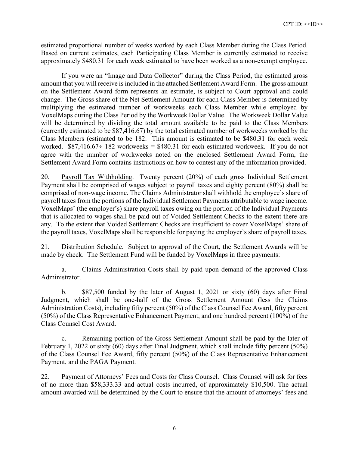estimated proportional number of weeks worked by each Class Member during the Class Period. Based on current estimates, each Participating Class Member is currently estimated to receive approximately \$480.31 for each week estimated to have been worked as a non-exempt employee.

If you were an "Image and Data Collector" during the Class Period, the estimated gross amount that you will receive is included in the attached Settlement Award Form. The gross amount on the Settlement Award form represents an estimate, is subject to Court approval and could change. The Gross share of the Net Settlement Amount for each Class Member is determined by multiplying the estimated number of workweeks each Class Member while employed by VoxelMaps during the Class Period by the Workweek Dollar Value. The Workweek Dollar Value will be determined by dividing the total amount available to be paid to the Class Members (currently estimated to be \$87,416.67) by the total estimated number of workweeks worked by the Class Members (estimated to be 182. This amount is estimated to be \$480.31 for each week worked.  $$87,416.67 \div 182$  workweeks = \$480.31 for each estimated workweek. If you do not agree with the number of workweeks noted on the enclosed Settlement Award Form, the Settlement Award Form contains instructions on how to contest any of the information provided.

20. Payroll Tax Withholding. Twenty percent (20%) of each gross Individual Settlement Payment shall be comprised of wages subject to payroll taxes and eighty percent (80%) shall be comprised of non-wage income. The Claims Administrator shall withhold the employee's share of payroll taxes from the portions of the Individual Settlement Payments attributable to wage income. VoxelMaps' (the employer's) share payroll taxes owing on the portion of the Individual Payments that is allocated to wages shall be paid out of Voided Settlement Checks to the extent there are any. To the extent that Voided Settlement Checks are insufficient to cover VoxelMaps' share of the payroll taxes, VoxelMaps shall be responsible for paying the employer's share of payroll taxes.

21. Distribution Schedule. Subject to approval of the Court, the Settlement Awards will be made by check. The Settlement Fund will be funded by VoxelMaps in three payments:

a. Claims Administration Costs shall by paid upon demand of the approved Class Administrator.

b. \$87,500 funded by the later of August 1, 2021 or sixty (60) days after Final Judgment, which shall be one-half of the Gross Settlement Amount (less the Claims Administration Costs), including fifty percent (50%) of the Class Counsel Fee Award, fifty percent (50%) of the Class Representative Enhancement Payment, and one hundred percent (100%) of the Class Counsel Cost Award.

c. Remaining portion of the Gross Settlement Amount shall be paid by the later of February 1, 2022 or sixty (60) days after Final Judgment, which shall include fifty percent (50%) of the Class Counsel Fee Award, fifty percent (50%) of the Class Representative Enhancement Payment, and the PAGA Payment.

22. Payment of Attorneys' Fees and Costs for Class Counsel. Class Counsel will ask for fees of no more than \$58,333.33 and actual costs incurred, of approximately \$10,500. The actual amount awarded will be determined by the Court to ensure that the amount of attorneys' fees and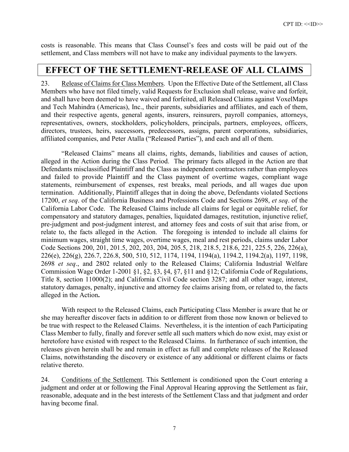costs is reasonable. This means that Class Counsel's fees and costs will be paid out of the settlement, and Class members will not have to make any individual payments to the lawyers.

### **EFFECT OF THE SETTLEMENT-RELEASE OF ALL CLAIMS**

23. Release of Claims for Class Members. Upon the Effective Date of the Settlement, all Class Members who have not filed timely, valid Requests for Exclusion shall release, waive and forfeit, and shall have been deemed to have waived and forfeited, all Released Claims against VoxelMaps and Tech Mahindra (Americas), Inc., their parents, subsidiaries and affiliates, and each of them, and their respective agents, general agents, insurers, reinsurers, payroll companies, attorneys, representatives, owners, stockholders, policyholders, principals, partners, employees, officers, directors, trustees, heirs, successors, predecessors, assigns, parent corporations, subsidiaries, affiliated companies, and Peter Atalla ("Released Parties"), and each and all of them.

"Released Claims" means all claims, rights, demands, liabilities and causes of action, alleged in the Action during the Class Period. The primary facts alleged in the Action are that Defendants misclassified Plaintiff and the Class as independent contractors rather than employees and failed to provide Plaintiff and the Class payment of overtime wages, compliant wage statements, reimbursement of expenses, rest breaks, meal periods, and all wages due upon termination. Additionally, Plaintiff alleges that in doing the above, Defendants violated Sections 17200, *et seq*. of the California Business and Professions Code and Sections 2698, *et seq*. of the California Labor Code. The Released Claims include all claims for legal or equitable relief, for compensatory and statutory damages, penalties, liquidated damages, restitution, injunctive relief, pre-judgment and post-judgment interest, and attorney fees and costs of suit that arise from, or relate to, the facts alleged in the Action. The foregoing is intended to include all claims for minimum wages, straight time wages, overtime wages, meal and rest periods, claims under Labor Code Sections 200, 201, 201.5, 202, 203, 204, 205.5, 218, 218.5, 218.6, 221, 225.5, 226, 226(a), 226(e), 226(g), 226.7, 226.8, 500, 510, 512, 1174, 1194, 1194(a), 1194.2, 1194.2(a), 1197, 1198, 2698 *et seq*., and 2802 related only to the Released Claims; California Industrial Welfare Commission Wage Order 1-2001 §1, §2, §3, §4, §7, §11 and §12; California Code of Regulations, Title 8, section 11000(2); and California Civil Code section 3287; and all other wage, interest, statutory damages, penalty, injunctive and attorney fee claims arising from, or related to, the facts alleged in the Action**.**

With respect to the Released Claims, each Participating Class Member is aware that he or she may hereafter discover facts in addition to or different from those now known or believed to be true with respect to the Released Claims. Nevertheless, it is the intention of each Participating Class Member to fully, finally and forever settle all such matters which do now exist, may exist or heretofore have existed with respect to the Released Claims. In furtherance of such intention, the releases given herein shall be and remain in effect as full and complete releases of the Released Claims, notwithstanding the discovery or existence of any additional or different claims or facts relative thereto.

24. Conditions of the Settlement. This Settlement is conditioned upon the Court entering a judgment and order at or following the Final Approval Hearing approving the Settlement as fair, reasonable, adequate and in the best interests of the Settlement Class and that judgment and order having become final.